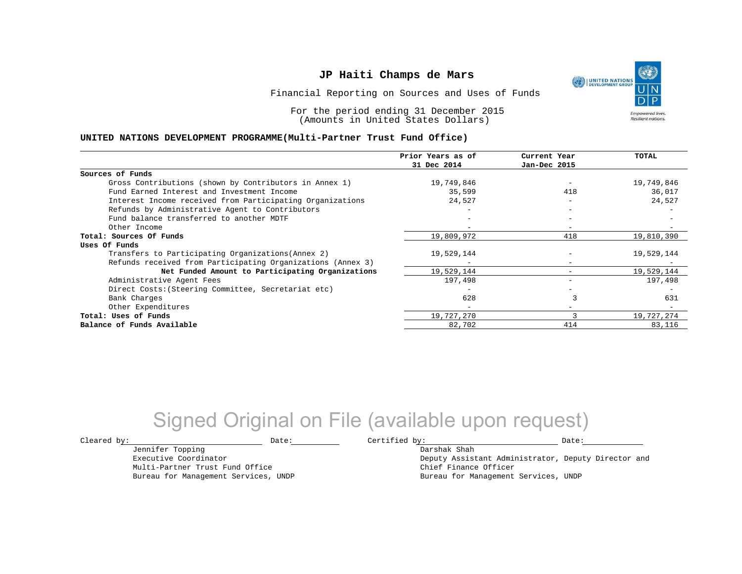UNITED NATIONS **Empowered lives Resilient nations.** 

Financial Reporting on Sources and Uses of Funds

For the period ending 31 December 2015 (Amounts in United States Dollars)

#### **UNITED NATIONS DEVELOPMENT PROGRAMME(Multi-Partner Trust Fund Office)**

|                                                             | Prior Years as of | Current Year             | TOTAL      |
|-------------------------------------------------------------|-------------------|--------------------------|------------|
|                                                             | 31 Dec 2014       | Jan-Dec 2015             |            |
| Sources of Funds                                            |                   |                          |            |
| Gross Contributions (shown by Contributors in Annex 1)      | 19,749,846        |                          | 19,749,846 |
| Fund Earned Interest and Investment Income                  | 35,599            | 418                      | 36,017     |
| Interest Income received from Participating Organizations   | 24,527            | $\overline{\phantom{0}}$ | 24,527     |
| Refunds by Administrative Agent to Contributors             |                   | $\overline{\phantom{0}}$ |            |
| Fund balance transferred to another MDTF                    |                   |                          |            |
| Other Income                                                |                   |                          |            |
| Total: Sources Of Funds                                     | 19,809,972        | 418                      | 19,810,390 |
| Uses Of Funds                                               |                   |                          |            |
| Transfers to Participating Organizations (Annex 2)          | 19,529,144        |                          | 19,529,144 |
| Refunds received from Participating Organizations (Annex 3) | $-$               | $\qquad \qquad -$        |            |
| Net Funded Amount to Participating Organizations            | 19,529,144        |                          | 19,529,144 |
| Administrative Agent Fees                                   | 197,498           |                          | 197,498    |
| Direct Costs: (Steering Committee, Secretariat etc)         |                   |                          |            |
| Bank Charges                                                | 628               |                          | 631        |
| Other Expenditures                                          | $-$               |                          |            |
| Total: Uses of Funds                                        | 19,727,270        |                          | 19,727,274 |
| Balance of Funds Available                                  | 82,702            | 414                      | 83,116     |

## Signed Original on File (available upon request)

 $\texttt{Cleared by:}\footnotesize \begin{minipage}{0.9\linewidth} \texttt{Date:}\footnotesize \begin{minipage}{0.9\linewidth} \texttt{Date:}\footnotesize \begin{minipage}{0.9\linewidth} \end{minipage} \end{minipage}$ 

Jennifer Topping Executive Coordinator

Multi-Partner Trust Fund Office Bureau for Management Services, UNDP

Darshak Shah Deputy Assistant Administrator, Deputy Director and Chief Finance Officer Bureau for Management Services, UNDP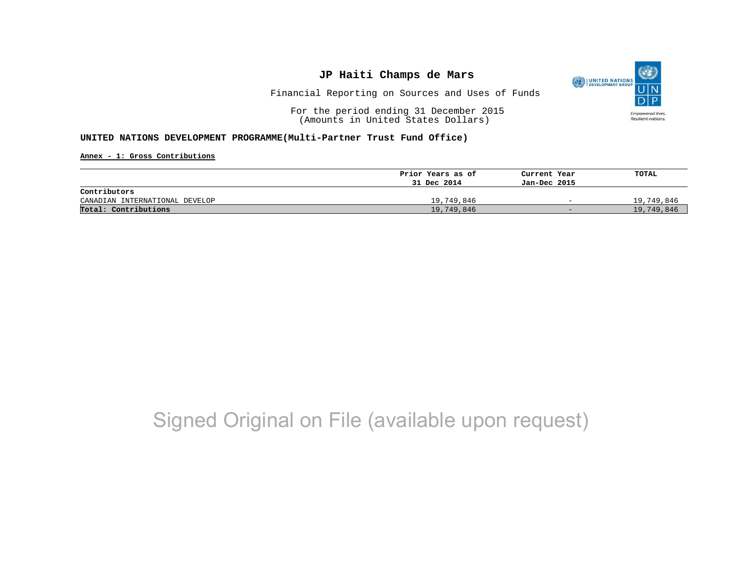

Financial Reporting on Sources and Uses of Funds

For the period ending 31 December 2015 (Amounts in United States Dollars)

### **UNITED NATIONS DEVELOPMENT PROGRAMME(Multi-Partner Trust Fund Office)**

**Annex - 1: Gross Contributions**

|                                | Prior Years as of | Current Year             | TOTAL      |
|--------------------------------|-------------------|--------------------------|------------|
|                                | 31 Dec 2014       | Jan-Dec 2015             |            |
| Contributors                   |                   |                          |            |
| CANADIAN INTERNATIONAL DEVELOP | 19,749,846        | $\overline{\phantom{0}}$ | 19,749,846 |
| Total: Contributions           | 19,749,846        | $-$                      | 19,749,846 |

# Signed Original on File (available upon request)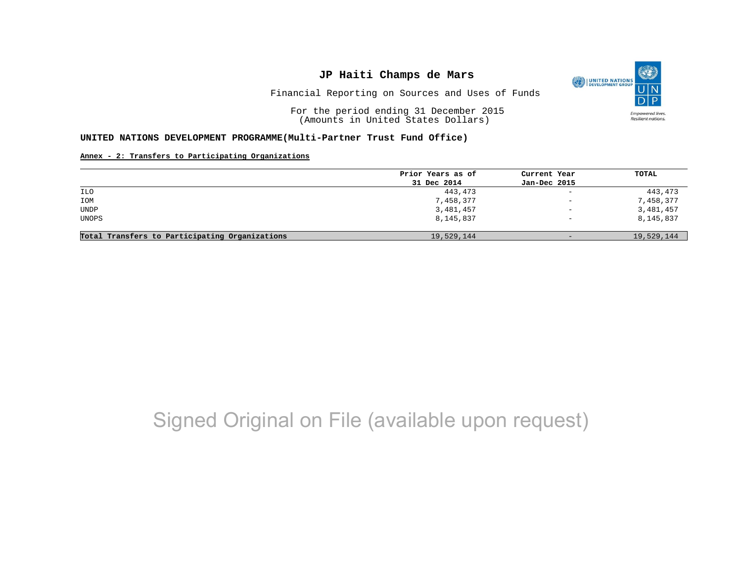

Financial Reporting on Sources and Uses of Funds

For the period ending 31 December 2015 (Amounts in United States Dollars)

#### **UNITED NATIONS DEVELOPMENT PROGRAMME(Multi-Partner Trust Fund Office)**

#### **Annex - 2: Transfers to Participating Organizations**

|                                                | Prior Years as of | Current Year             | TOTAL      |
|------------------------------------------------|-------------------|--------------------------|------------|
|                                                | 31 Dec 2014       | Jan-Dec 2015             |            |
| ILO                                            | 443,473           | $\sim$                   | 443,473    |
| IOM                                            | 7,458,377         | $\qquad \qquad -$        | 7,458,377  |
| <b>UNDP</b>                                    | 3,481,457         | $\qquad \qquad -$        | 3,481,457  |
| <b>UNOPS</b>                                   | 8,145,837         | $\overline{\phantom{0}}$ | 8,145,837  |
| Total Transfers to Participating Organizations | 19,529,144        | $-$                      | 19,529,144 |

# Signed Original on File (available upon request)